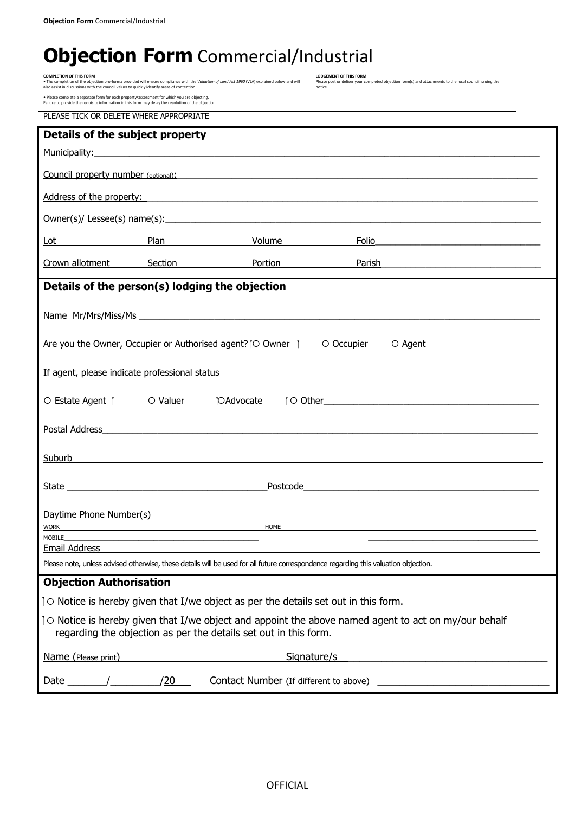## **Objection Form** Commercial/Industrial

| <b>COMPLETION OF THIS FORM</b>                                                                                                                                                                      | <b>LODGEMENT OF THIS FORM</b><br>. The completion of the objection pro-forma provided will ensure compliance with the Valuation of Land Act 1960 (VLA) explained below and will<br>Please post or deliver your completed objection form(s) and attachments to the local council issuing the<br>also assist in discussions with the council valuer to quickly identify areas of contention.<br>notice. |                                          |                                                                                                                                                                                                                                      |  |  |  |
|-----------------------------------------------------------------------------------------------------------------------------------------------------------------------------------------------------|-------------------------------------------------------------------------------------------------------------------------------------------------------------------------------------------------------------------------------------------------------------------------------------------------------------------------------------------------------------------------------------------------------|------------------------------------------|--------------------------------------------------------------------------------------------------------------------------------------------------------------------------------------------------------------------------------------|--|--|--|
| . Please complete a separate form for each property/assessment for which you are objecting.<br>Failure to provide the requisite information in this form may delay the resolution of the objection. |                                                                                                                                                                                                                                                                                                                                                                                                       |                                          |                                                                                                                                                                                                                                      |  |  |  |
| PLEASE TICK OR DELETE WHERE APPROPRIATE                                                                                                                                                             |                                                                                                                                                                                                                                                                                                                                                                                                       |                                          |                                                                                                                                                                                                                                      |  |  |  |
| Details of the subject property                                                                                                                                                                     |                                                                                                                                                                                                                                                                                                                                                                                                       |                                          |                                                                                                                                                                                                                                      |  |  |  |
| Municipality:                                                                                                                                                                                       | <u> 1989 - Jan James James James James James James James James James James James James James James James James J</u>                                                                                                                                                                                                                                                                                  |                                          |                                                                                                                                                                                                                                      |  |  |  |
|                                                                                                                                                                                                     |                                                                                                                                                                                                                                                                                                                                                                                                       |                                          | Council property number (optional): The contract of the contract of the contract of the contract of the contract of the contract of the contract of the contract of the contract of the contract of the contract of the contra       |  |  |  |
|                                                                                                                                                                                                     |                                                                                                                                                                                                                                                                                                                                                                                                       |                                          | Address of the property: example and a series of the property:                                                                                                                                                                       |  |  |  |
|                                                                                                                                                                                                     |                                                                                                                                                                                                                                                                                                                                                                                                       |                                          | <u>Owner(s)/ Lessee(s) name(s): example and control and control and control and control and control and control and control and control and control and control and control and control and control and control and control and </u> |  |  |  |
| Lot                                                                                                                                                                                                 | Plan                                                                                                                                                                                                                                                                                                                                                                                                  | Volume                                   | Folio<br><u> 1989 - Johann John Stein, mars ar yw i brenin y brenin y brenin y brenin y brenin y brenin y brenin y brenin</u>                                                                                                        |  |  |  |
| Crown allotment                                                                                                                                                                                     | Section Portion                                                                                                                                                                                                                                                                                                                                                                                       |                                          | Parish<br><u> 1980 - Johann John Stone, markin film yn y brening yn y brening yn y brening yn y brening yn y brening yn y b</u>                                                                                                      |  |  |  |
| Details of the person(s) lodging the objection                                                                                                                                                      |                                                                                                                                                                                                                                                                                                                                                                                                       |                                          |                                                                                                                                                                                                                                      |  |  |  |
| Name Mr/Mrs/Miss/Ms                                                                                                                                                                                 |                                                                                                                                                                                                                                                                                                                                                                                                       |                                          |                                                                                                                                                                                                                                      |  |  |  |
|                                                                                                                                                                                                     |                                                                                                                                                                                                                                                                                                                                                                                                       |                                          |                                                                                                                                                                                                                                      |  |  |  |
| Are you the Owner, Occupier or Authorised agent? TO Owner T                                                                                                                                         |                                                                                                                                                                                                                                                                                                                                                                                                       |                                          | O Occupier<br>O Agent                                                                                                                                                                                                                |  |  |  |
| If agent, please indicate professional status                                                                                                                                                       |                                                                                                                                                                                                                                                                                                                                                                                                       |                                          |                                                                                                                                                                                                                                      |  |  |  |
| <b>TOAdvocate</b><br>O Estate Agent  <br>○ Valuer                                                                                                                                                   |                                                                                                                                                                                                                                                                                                                                                                                                       |                                          |                                                                                                                                                                                                                                      |  |  |  |
|                                                                                                                                                                                                     |                                                                                                                                                                                                                                                                                                                                                                                                       |                                          |                                                                                                                                                                                                                                      |  |  |  |
| Postal Address                                                                                                                                                                                      |                                                                                                                                                                                                                                                                                                                                                                                                       |                                          |                                                                                                                                                                                                                                      |  |  |  |
| Suburb                                                                                                                                                                                              |                                                                                                                                                                                                                                                                                                                                                                                                       |                                          |                                                                                                                                                                                                                                      |  |  |  |
|                                                                                                                                                                                                     |                                                                                                                                                                                                                                                                                                                                                                                                       |                                          |                                                                                                                                                                                                                                      |  |  |  |
| State                                                                                                                                                                                               | the control of the control of the control of the control of the control of the control of                                                                                                                                                                                                                                                                                                             | Postcode                                 |                                                                                                                                                                                                                                      |  |  |  |
| Daytime Phone Number(s)                                                                                                                                                                             |                                                                                                                                                                                                                                                                                                                                                                                                       |                                          |                                                                                                                                                                                                                                      |  |  |  |
| HOME<br><b>WORK</b>                                                                                                                                                                                 |                                                                                                                                                                                                                                                                                                                                                                                                       |                                          |                                                                                                                                                                                                                                      |  |  |  |
| <b>MOBILE</b><br><b>Email Address</b>                                                                                                                                                               |                                                                                                                                                                                                                                                                                                                                                                                                       |                                          |                                                                                                                                                                                                                                      |  |  |  |
| Please note, unless advised otherwise, these details will be used for all future correspondence regarding this valuation objection.                                                                 |                                                                                                                                                                                                                                                                                                                                                                                                       |                                          |                                                                                                                                                                                                                                      |  |  |  |
| <b>Objection Authorisation</b>                                                                                                                                                                      |                                                                                                                                                                                                                                                                                                                                                                                                       |                                          |                                                                                                                                                                                                                                      |  |  |  |
| To Notice is hereby given that I/we object as per the details set out in this form.                                                                                                                 |                                                                                                                                                                                                                                                                                                                                                                                                       |                                          |                                                                                                                                                                                                                                      |  |  |  |
| To Notice is hereby given that I/we object and appoint the above named agent to act on my/our behalf<br>regarding the objection as per the details set out in this form.                            |                                                                                                                                                                                                                                                                                                                                                                                                       |                                          |                                                                                                                                                                                                                                      |  |  |  |
| Name (Please print)                                                                                                                                                                                 | Signature/s<br><u> 1980 - Johann Barn, mars eta bainar eta baina eta baina eta baina eta baina eta baina eta baina eta baina e</u>                                                                                                                                                                                                                                                                    |                                          |                                                                                                                                                                                                                                      |  |  |  |
| Date                                                                                                                                                                                                | /20                                                                                                                                                                                                                                                                                                                                                                                                   | Contact Number (If different to above) _ |                                                                                                                                                                                                                                      |  |  |  |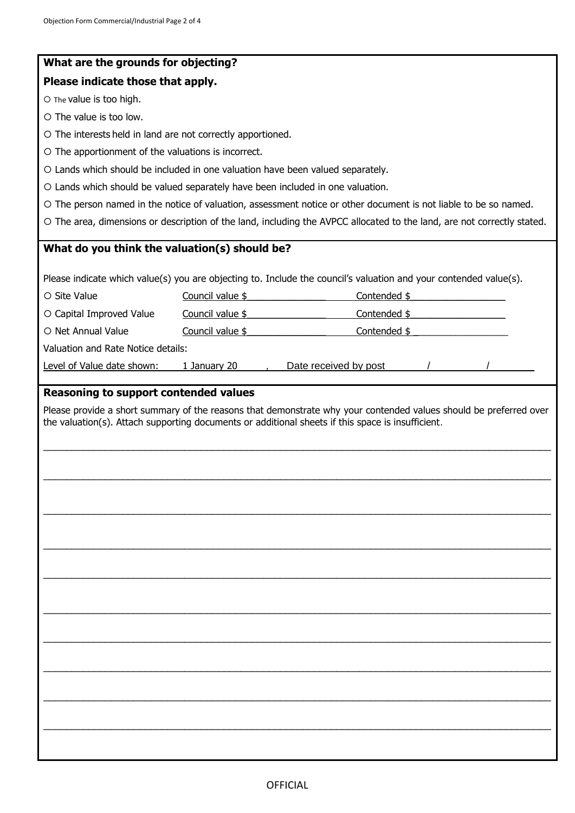| What are the grounds for objecting?                                            |                  |                                                                                                                                                                                                                        |  |  |  |
|--------------------------------------------------------------------------------|------------------|------------------------------------------------------------------------------------------------------------------------------------------------------------------------------------------------------------------------|--|--|--|
| Please indicate those that apply.                                              |                  |                                                                                                                                                                                                                        |  |  |  |
| O The value is too high.                                                       |                  |                                                                                                                                                                                                                        |  |  |  |
| O The value is too low.                                                        |                  |                                                                                                                                                                                                                        |  |  |  |
| O The interests held in land are not correctly apportioned.                    |                  |                                                                                                                                                                                                                        |  |  |  |
| O The apportionment of the valuations is incorrect.                            |                  |                                                                                                                                                                                                                        |  |  |  |
| O Lands which should be included in one valuation have been valued separately. |                  |                                                                                                                                                                                                                        |  |  |  |
| O Lands which should be valued separately have been included in one valuation. |                  |                                                                                                                                                                                                                        |  |  |  |
|                                                                                |                  | O The person named in the notice of valuation, assessment notice or other document is not liable to be so named.                                                                                                       |  |  |  |
|                                                                                |                  | O The area, dimensions or description of the land, including the AVPCC allocated to the land, are not correctly stated.                                                                                                |  |  |  |
| What do you think the valuation(s) should be?                                  |                  |                                                                                                                                                                                                                        |  |  |  |
|                                                                                |                  |                                                                                                                                                                                                                        |  |  |  |
|                                                                                |                  | Please indicate which value(s) you are objecting to. Include the council's valuation and your contended value(s).                                                                                                      |  |  |  |
| O Site Value                                                                   | Council value \$ | Contended \$                                                                                                                                                                                                           |  |  |  |
| O Capital Improved Value                                                       | Council value \$ | Contended \$                                                                                                                                                                                                           |  |  |  |
| O Net Annual Value                                                             | Council value \$ | Contended \$                                                                                                                                                                                                           |  |  |  |
| Valuation and Rate Notice details:                                             |                  |                                                                                                                                                                                                                        |  |  |  |
| Level of Value date shown:                                                     | 1 January 20     | Date received by post                                                                                                                                                                                                  |  |  |  |
| <b>Reasoning to support contended values</b>                                   |                  |                                                                                                                                                                                                                        |  |  |  |
|                                                                                |                  | Please provide a short summary of the reasons that demonstrate why your contended values should be preferred over<br>the valuation(s). Attach supporting documents or additional sheets if this space is insufficient. |  |  |  |
|                                                                                |                  |                                                                                                                                                                                                                        |  |  |  |
|                                                                                |                  |                                                                                                                                                                                                                        |  |  |  |
|                                                                                |                  |                                                                                                                                                                                                                        |  |  |  |
|                                                                                |                  |                                                                                                                                                                                                                        |  |  |  |
|                                                                                |                  |                                                                                                                                                                                                                        |  |  |  |
|                                                                                |                  |                                                                                                                                                                                                                        |  |  |  |
|                                                                                |                  |                                                                                                                                                                                                                        |  |  |  |
|                                                                                |                  |                                                                                                                                                                                                                        |  |  |  |
|                                                                                |                  |                                                                                                                                                                                                                        |  |  |  |
|                                                                                |                  |                                                                                                                                                                                                                        |  |  |  |
|                                                                                |                  |                                                                                                                                                                                                                        |  |  |  |
|                                                                                |                  |                                                                                                                                                                                                                        |  |  |  |
|                                                                                |                  |                                                                                                                                                                                                                        |  |  |  |
|                                                                                |                  |                                                                                                                                                                                                                        |  |  |  |
|                                                                                |                  |                                                                                                                                                                                                                        |  |  |  |
|                                                                                |                  |                                                                                                                                                                                                                        |  |  |  |
|                                                                                |                  |                                                                                                                                                                                                                        |  |  |  |
|                                                                                |                  |                                                                                                                                                                                                                        |  |  |  |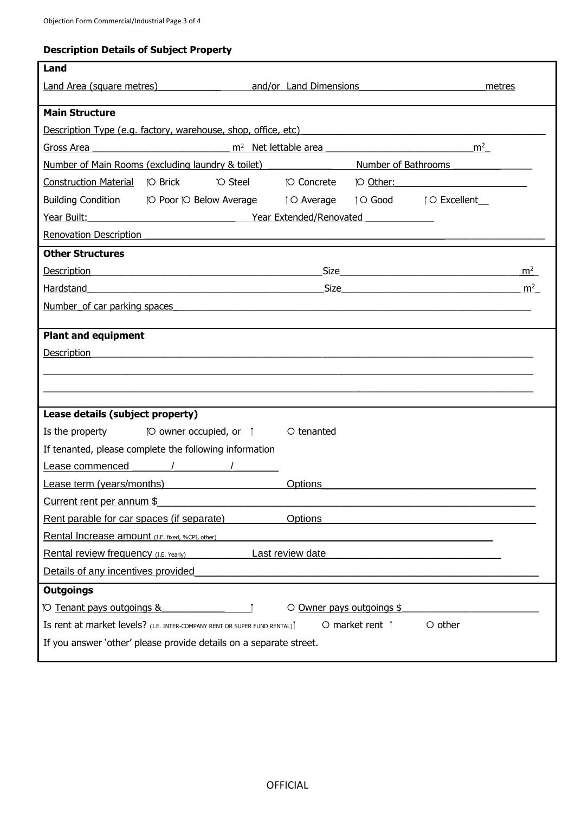## **Description Details of Subject Property**

| Land                                                                                                         |                                                                                                                                                                                                                                |                    |  |                      |                |
|--------------------------------------------------------------------------------------------------------------|--------------------------------------------------------------------------------------------------------------------------------------------------------------------------------------------------------------------------------|--------------------|--|----------------------|----------------|
|                                                                                                              | Land Area (square metres) and/or Land Dimensions                                                                                                                                                                               |                    |  |                      | metres         |
|                                                                                                              |                                                                                                                                                                                                                                |                    |  |                      |                |
| <b>Main Structure</b>                                                                                        |                                                                                                                                                                                                                                |                    |  |                      |                |
|                                                                                                              | Description Type (e.g. factory, warehouse, shop, office, etc)                                                                                                                                                                  |                    |  |                      |                |
|                                                                                                              | m <sup>2</sup><br>Gross Area<br>m <sup>2</sup> Net lettable area<br>Number of Main Rooms (excluding laundry & toilet) Number of Bathrooms                                                                                      |                    |  |                      |                |
|                                                                                                              |                                                                                                                                                                                                                                |                    |  |                      |                |
|                                                                                                              | <b>TO Steel</b>                                                                                                                                                                                                                | <b>TO Concrete</b> |  | TO Other:            |                |
|                                                                                                              | Building Condition [O Poor [O Below Average   O Average   O Good   O Excellent                                                                                                                                                 |                    |  |                      |                |
| Year Built:                                                                                                  | Tear Extended/Renovated                                                                                                                                                                                                        |                    |  |                      |                |
| <b>Renovation Description</b>                                                                                |                                                                                                                                                                                                                                |                    |  |                      |                |
| <b>Other Structures</b>                                                                                      |                                                                                                                                                                                                                                |                    |  |                      |                |
|                                                                                                              | Description experience and the property of the set of the set of the set of the set of the set of the set of the set of the set of the set of the set of the set of the set of the set of the set of the set of the set of the |                    |  |                      | m <sup>2</sup> |
| Hardstand                                                                                                    |                                                                                                                                                                                                                                |                    |  | Size $\qquad \qquad$ | m <sup>2</sup> |
|                                                                                                              | Number of car parking spaces                                                                                                                                                                                                   |                    |  |                      |                |
|                                                                                                              |                                                                                                                                                                                                                                |                    |  |                      |                |
| <b>Plant and equipment</b>                                                                                   |                                                                                                                                                                                                                                |                    |  |                      |                |
| <b>Description</b>                                                                                           |                                                                                                                                                                                                                                |                    |  |                      |                |
|                                                                                                              |                                                                                                                                                                                                                                |                    |  |                      |                |
|                                                                                                              |                                                                                                                                                                                                                                |                    |  |                      |                |
| Lease details (subject property)                                                                             |                                                                                                                                                                                                                                |                    |  |                      |                |
|                                                                                                              | Is the property $[O\text{ owner occupied, or }]$                                                                                                                                                                               | O tenanted         |  |                      |                |
| If tenanted, please complete the following information                                                       |                                                                                                                                                                                                                                |                    |  |                      |                |
| Lease commenced                                                                                              |                                                                                                                                                                                                                                |                    |  |                      |                |
| Lease term (years/months)                                                                                    |                                                                                                                                                                                                                                | Options            |  |                      |                |
| Current rent per annum \$                                                                                    |                                                                                                                                                                                                                                |                    |  |                      |                |
| Rent parable for car spaces (if separate)                                                                    |                                                                                                                                                                                                                                | <b>Options</b>     |  |                      |                |
|                                                                                                              |                                                                                                                                                                                                                                |                    |  |                      |                |
| Rental Increase amount (I.E. fixed, %CPI, other)<br>Last review date                                         |                                                                                                                                                                                                                                |                    |  |                      |                |
| Rental review frequency (I.E. Yearly)<br>Details of any incentives provided                                  |                                                                                                                                                                                                                                |                    |  |                      |                |
|                                                                                                              |                                                                                                                                                                                                                                |                    |  |                      |                |
| <b>Outgoings</b>                                                                                             |                                                                                                                                                                                                                                |                    |  |                      |                |
| <b>O Tenant pays outgoings &amp;</b><br>O Owner pays outgoings \$                                            |                                                                                                                                                                                                                                |                    |  |                      |                |
| $\circ$ other<br>Is rent at market levels? (I.E. INTER-COMPANY RENT OR SUPER FUND RENTAL)<br>O market rent 1 |                                                                                                                                                                                                                                |                    |  |                      |                |
| If you answer 'other' please provide details on a separate street.                                           |                                                                                                                                                                                                                                |                    |  |                      |                |